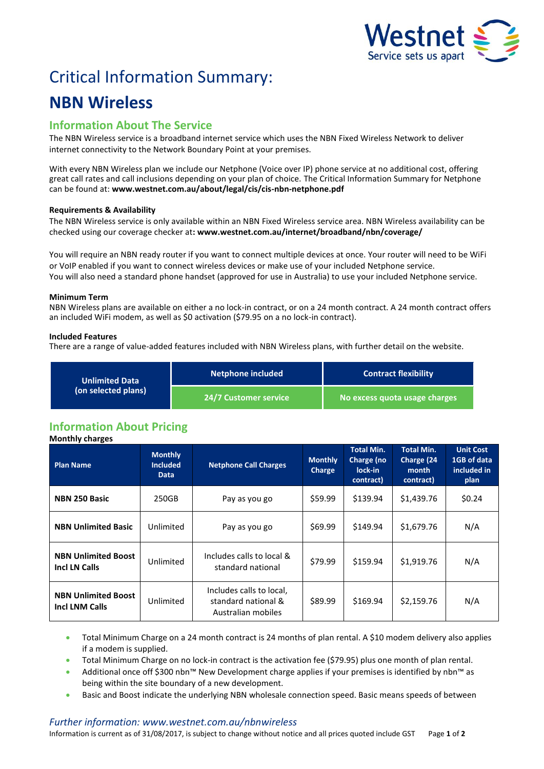

# Critical Information Summary:

## **NBN Wireless**

### **Information About The Service**

The NBN Wireless service is a broadband internet service which uses the NBN Fixed Wireless Network to deliver internet connectivity to the Network Boundary Point at your premises.

With every NBN Wireless plan we include our Netphone (Voice over IP) phone service at no additional cost, offering great call rates and call inclusions depending on your plan of choice. The Critical Information Summary for Netphone can be found at: **www.westnet.com.au/about/legal/cis/cis-nbn-netphone.pdf**

#### **Requirements & Availability**

The NBN Wireless service is only available within an NBN Fixed Wireless service area. NBN Wireless availability can be checked using our coverage checker at**: www.westnet.com.au/internet/broadband/nbn/coverage/**

You will require an NBN ready router if you want to connect multiple devices at once. Your router will need to be WiFi or VoIP enabled if you want to connect wireless devices or make use of your included Netphone service. You will also need a standard phone handset (approved for use in Australia) to use your included Netphone service.

#### **Minimum Term**

NBN Wireless plans are available on either a no lock-in contract, or on a 24 month contract. A 24 month contract offers an included WiFi modem, as well as \$0 activation (\$79.95 on a no lock-in contract).

#### **Included Features**

There are a range of value-added features included with NBN Wireless plans, with further detail on the website.

| <b>Unlimited Data</b><br>(on selected plans) | <b>Netphone included</b> | <b>Contract flexibility</b>   |  |
|----------------------------------------------|--------------------------|-------------------------------|--|
|                                              | 24/7 Customer service '  | No excess quota usage charges |  |

## **Information About Pricing**

**Monthly charges Plan Name Monthly Included Data Netphone Call Charges Monthly Charge Total Min. Charge (no lock-in contract) Total Min. Charge (24 month contract) Unit Cost 1GB of data included in plan NBN 250 Basic**  $\begin{array}{|c|c|c|c|c|c|} \hline \text{250GB} & \text{Pay as you go} & \text{559.99} & \text{5139.94} & \text{51,439.76} & \text{50.24} \\ \hline \end{array}$ **NBN Unlimited Basic** | Unlimited | Pay as you go | \$69.99 | \$149.94 | \$1,679.76 | N/A **NBN Unlimited Boost INBN Unlimited Boost** Unlimited Includes calls to local & **Includes Calls** to local & standard national  $\begin{vmatrix} 579.99 \end{vmatrix}$  \$159.94  $\begin{vmatrix} 51.919.76 \end{vmatrix}$  N/A **NBN Unlimited Boost Incl LNM Calls** Unlimited Includes calls to local, standard national & Australian mobiles  $$89.99$   $$169.94$   $$2,159.76$  N/A

- Total Minimum Charge on a 24 month contract is 24 months of plan rental. A \$10 modem delivery also applies if a modem is supplied.
- Total Minimum Charge on no lock-in contract is the activation fee (\$79.95) plus one month of plan rental.
- Additional once off \$300 nbn™ New Development charge applies if your premises is identified by nbn™ as being within the site boundary of a new development.
- Basic and Boost indicate the underlying NBN wholesale connection speed. Basic means speeds of between

#### *Further information: www.westnet.com.au/nbnwireless*

Information is current as of 31/08/2017, is subject to change without notice and all prices quoted include GST Page **1** of **2**